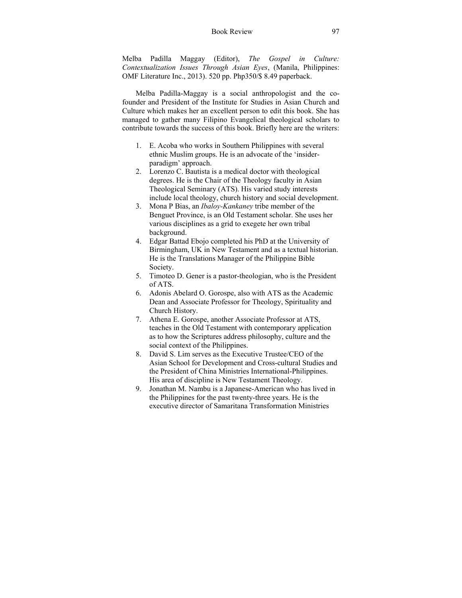## Book Review 97

Melba Padilla Maggay (Editor), *The Gospel in Culture: Contextualization Issues Through Asian Eyes*, (Manila, Philippines: OMF Literature Inc., 2013). 520 pp. Php350/\$ 8.49 paperback.

Melba Padilla-Maggay is a social anthropologist and the cofounder and President of the Institute for Studies in Asian Church and Culture which makes her an excellent person to edit this book. She has managed to gather many Filipino Evangelical theological scholars to contribute towards the success of this book. Briefly here are the writers:

- 1. E. Acoba who works in Southern Philippines with several ethnic Muslim groups. He is an advocate of the 'insiderparadigm' approach.
- 2. Lorenzo C. Bautista is a medical doctor with theological degrees. He is the Chair of the Theology faculty in Asian Theological Seminary (ATS). His varied study interests include local theology, church history and social development.
- 3. Mona P Bias, an *Ibaloy-Kankaney* tribe member of the Benguet Province, is an Old Testament scholar. She uses her various disciplines as a grid to exegete her own tribal background.
- 4. Edgar Battad Ebojo completed his PhD at the University of Birmingham, UK in New Testament and as a textual historian. He is the Translations Manager of the Philippine Bible Society.
- 5. Timoteo D. Gener is a pastor-theologian, who is the President of ATS.
- 6. Adonis Abelard O. Gorospe, also with ATS as the Academic Dean and Associate Professor for Theology, Spirituality and Church History.
- 7. Athena E. Gorospe, another Associate Professor at ATS, teaches in the Old Testament with contemporary application as to how the Scriptures address philosophy, culture and the social context of the Philippines.
- 8. David S. Lim serves as the Executive Trustee/CEO of the Asian School for Development and Cross-cultural Studies and the President of China Ministries International-Philippines. His area of discipline is New Testament Theology.
- 9. Jonathan M. Nambu is a Japanese-American who has lived in the Philippines for the past twenty-three years. He is the executive director of Samaritana Transformation Ministries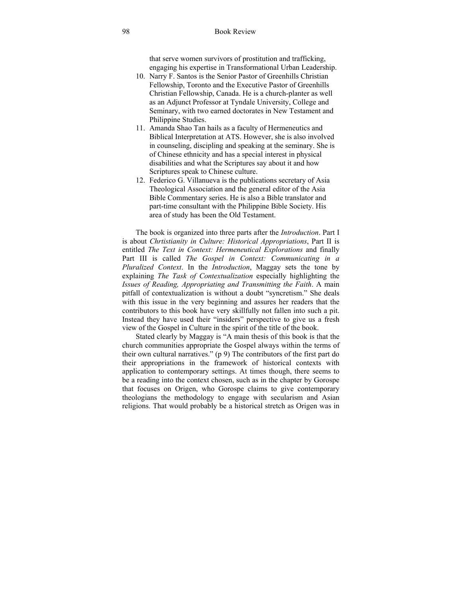that serve women survivors of prostitution and trafficking, engaging his expertise in Transformational Urban Leadership.

- 10. Narry F. Santos is the Senior Pastor of Greenhills Christian Fellowship, Toronto and the Executive Pastor of Greenhills Christian Fellowship, Canada. He is a church-planter as well as an Adjunct Professor at Tyndale University, College and Seminary, with two earned doctorates in New Testament and Philippine Studies.
- 11. Amanda Shao Tan hails as a faculty of Hermeneutics and Biblical Interpretation at ATS. However, she is also involved in counseling, discipling and speaking at the seminary. She is of Chinese ethnicity and has a special interest in physical disabilities and what the Scriptures say about it and how Scriptures speak to Chinese culture.
- 12. Federico G. Villanueva is the publications secretary of Asia Theological Association and the general editor of the Asia Bible Commentary series. He is also a Bible translator and part-time consultant with the Philippine Bible Society. His area of study has been the Old Testament.

The book is organized into three parts after the *Introduction*. Part I is about *Chrtistianity in Culture: Historical Appropriations*, Part II is entitled *The Text in Context: Hermeneutical Explorations* and finally Part III is called *The Gospel in Context: Communicating in a Pluralized Context*. In the *Introduction*, Maggay sets the tone by explaining *The Task of Contextualization* especially highlighting the *Issues of Reading, Appropriating and Transmitting the Faith*. A main pitfall of contextualization is without a doubt "syncretism." She deals with this issue in the very beginning and assures her readers that the contributors to this book have very skillfully not fallen into such a pit. Instead they have used their "insiders" perspective to give us a fresh view of the Gospel in Culture in the spirit of the title of the book.

Stated clearly by Maggay is "A main thesis of this book is that the church communities appropriate the Gospel always within the terms of their own cultural narratives." (p 9) The contributors of the first part do their appropriations in the framework of historical contexts with application to contemporary settings. At times though, there seems to be a reading into the context chosen, such as in the chapter by Gorospe that focuses on Origen, who Gorospe claims to give contemporary theologians the methodology to engage with secularism and Asian religions. That would probably be a historical stretch as Origen was in